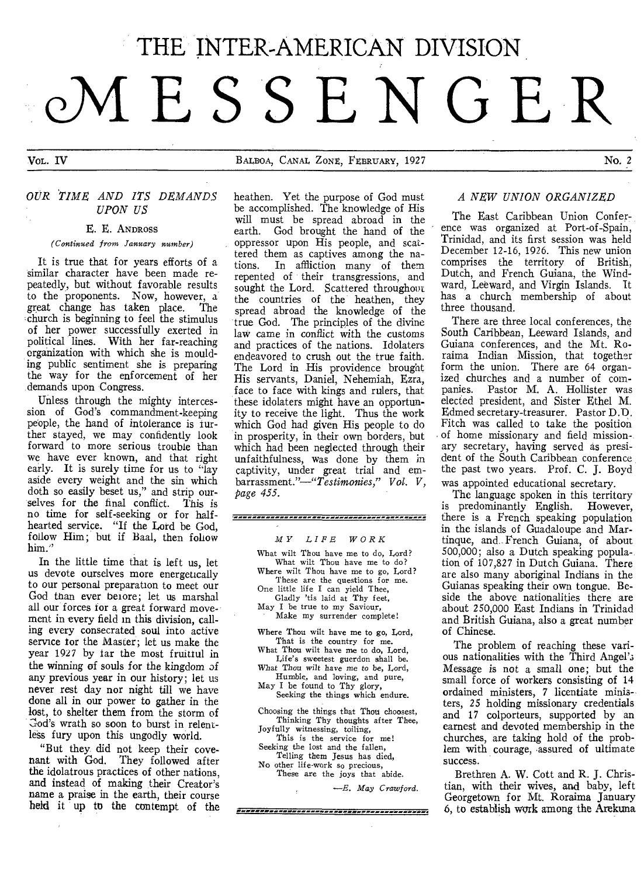# THE INTER-AMERICAN DIVISION **OA ES SENGER**

VOL. IV BALBOA, CANAL ZONE, FEBRUARY, 1927 No. 2

# *OUR TIME AND ITS DEMANDS UPON US*

## *E. E.* ANDROSS

*(Continued from January number)* 

It is true that for years efforts of a similar character have been made repeatedly, but without favorable results to the proponents. Now, however, a great change has taken place. The great change has taken place. ,church is beginning to feel the stimulus of her power successfully exerted in political lines. With her far-reaching organization with which she is moulding public sentiment she is preparing the way for the enforcement of her demands upon Congress.

Unless through the mighty intercession of God's commandment-keeping people, the hand of intolerance is further stayed, we may confidently look forward to more serious trouble than we have ever known, and that right early. It is surely time for us to "lay aside every weight and the sin which doth so easily beset us," and strip ourselves for the final conflict. This is no time for self-seeking or for halfhearted service. "If the Lord be God, follow Him; but if Baal, then follow him."

In the little time that is left us, let us devote ourselves more energetically to our personal preparation to meet our God than ever beiore; let us marshal all our forces for a great forward movement in every field in this division, calling every consecrated soul into active service for the Master; let us make the year 1927 by far the most fruitful in the winning of souls for the kingdom of any previous year in our history; let us never rest day nor night till we have done all in our power to gather in the lost, to shelter them from the storm of Cod's wrath so soon to burst in relentless fury upon this ungodly world.

"But they did not keep their covenant with God. They followed after the idolatrous practices of other nations, and instead of making their Creator's name a praise in the earth, their course held it up to the contempt of the heathen. Yet the purpose of God must be accomplished. The knowledge of His will must be spread abroad in the earth. God brought the hand of the oppressor upon His people, and scattered them as captives among the na-In affliction many of them repented of their transgressions, and sought the Lord. Scattered throughout the countries of the heathen, they spread abroad the knowledge of the true God. The principles of the divine law came in conflict with the customs and practices of the nations. Idolaters endeavored to crush out the true faith. The Lord in His providence brought His servants, Daniel, Nehemiah, Ezra, face to face with kings and rulers, that these idolaters might have an opportunity to receive the light. Thus the work which God had given His people to do in prosperity, in their own borders, but which had been neglected through their unfaithfulness, was done by them in captivity, under great trial and embarrassment."—"Testimonies," *Vol. V, Page 455.* 

### 

### *MY LIFE WORK*

What wilt Thou have me to do, Lord? What wilt Thou have me to do? Where wilt Thou have me to go, Lord? These are the questions for me. One little life I can yield Thee, Gladly 'tis laid at Thy feet, May I be true to my Saviour, Make my surrender complete! Where Thou wilt have me to go, Lord, That is the country for me. What Thou wilt have me to do, Lord, Life's sweetest guerdon shall be. What Thou *wilt* have *me* to be, Lord,

Humble, and loving, and pure, May I be found to Thy glory, Seeking the things which endure.

Choosing the things that Thou choosest, Thinking Thy thoughts after Thee, Joyfully witnessing, toiling, This is the service for me!

Seeking the lost and the fallen, Telling them Jesus has died,

No other life-work so precious, These are the joys that abide.

*—E. May Crawford.* 

# *A NEW UNION ORGANIZED*

The East Caribbean Union Conference was organized at Port-of-Spain, Trinidad, and its first session was held December 12-16, 1926. This new union comprises the territory of British, Dutch, and French Guiana, the Windward, Leeward, and Virgin Islands. It has a church membership of about three thousand.

There are three local conferences, the South Caribbean, Leeward Islands, and Guiana conferences, and the Mt. Roraima Indian Mission, that together form the union. There are 64 organized churches and a number of com-<br>nanies. Pastor M. A. Hollister was Pastor M. A. Hollister was elected president, and Sister Ethel M. Edmed secretary-treasurer. Pastor D.D. Fitch was called to take the position of home missionary and field mission-. ary secretary, having served as president of the South Caribbean conference the past two years. Prof. C. J. Boyd was appointed educational secretary.

The language spoken in this territory is predominantly English. However, there is a French speaking population in the islands of Guadaloupe and Martinque, and French Guiana, of about 500,000; also a Dutch speaking popula-. tion of 107,827 in Dutch Guiana. There are also many aboriginal Indians in the Guianas speaking their own tongue. Beside the above nationalities there are about 250,000 East Indians in Trinidad and British Guiana, also a great number of Chinese.

The problem of reaching these various nationalities with the Third Angel'; Message is not a small one; but the small force of workers consisting of 14 ordained ministers, 7 licentiate ministers, 25 holding missionary credentials and 17 colporteurs, supported by an earnest and devoted membership in the churches, are taking hold of the problem with courage, assured of ultimate success.

Brethren A. W. Cott and R. J. Christian, with their wives, and baby, left Georgetown for Mt. Roraima January 6, to establish work among the Arekuna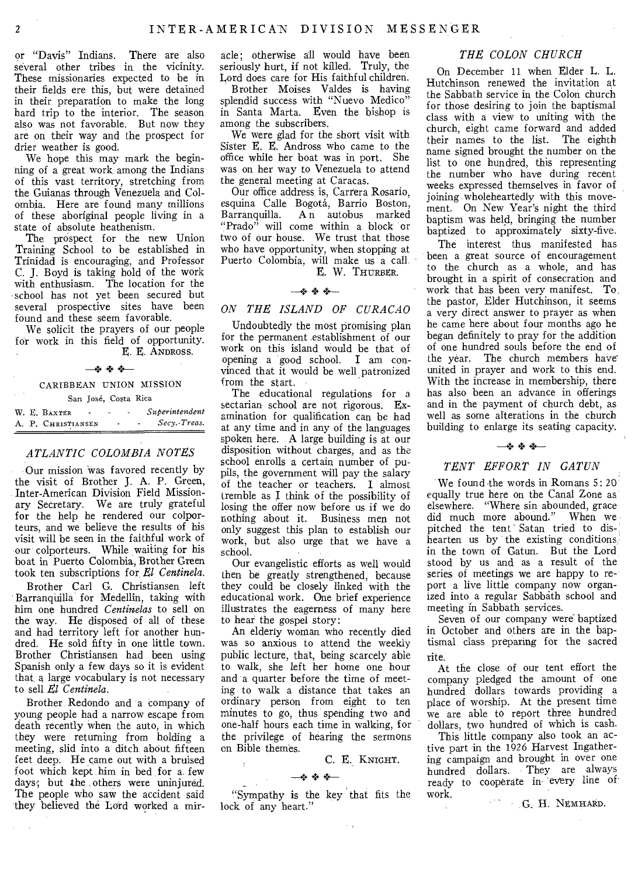or "Davis" Indians. There are also several other tribes in the vicinity. These missionaries expected to be in their fields ere this, but were detained in their preparation to make the long hard trip to the interior. The season also was not favorable. But now they are on their way and the prospect for drier weather is good.

We hope this may mark the beginning of a great work among the Indians of this vast territory, stretching from the Guianas through Venezuela and Colombia. Here are found many millions of these aboriginal people living in a state of absolute heathenism.

The prospect for the new Union Training School to be established in Trinidad is encouraging, and Professor C. J. Boyd is taking hold of the work with enthusiasm. The location for the school has not yet been secured but several prospective sites have been found and these seem favorable.

We solicit the prayers of our people for work in this field of opportunity. E. E. ANDROSS.

—4. + +—

# CARIBBEAN UNION MISSION San Jose, Costa Rica

W. E. Baxter **- -** *Superintendent* A. P. CHRISTIANSEN - - Secy.-Treas. A. P. CHRISTIANSEN - -

# *ATLANTIC COLOMBIA NOTES*

Our mission was favored recently by the visit of Brother J. A. P. Green, Inter-American Division Field Missionary Secretary. We are truly grateful for the help he rendered our colporteurs, and we believe the results of his visit will be seen in the faithful work of our colporteurs. While waiting for his boat in Puerto Colombia, Brother Green took ten subscriptions for, *El Centinela.* 

Brother Carl G. Christiansen left Barranquilla for Medellin, taking with him one hundred *Centinelas* to sell on the way. He disposed of all of these and had territory left for another hundred. He sold fifty in one little town. Brother Christiansen had been using Spanish only a few days so it is evident that, a large vocabulary is not necessary to sell *El Centinela.* 

Brother Redondo and 'a company of young people had a narrow escape from death recently when the auto, in which they were returning from holding a meeting, slid into a ditch about fifteen feet deep. He came out with a bruised foot which kept him in bed for a. few days; but the others were uninjured. The people who saw the accident said they believed the Lord worked a mir-

acle; otherwise all would have been seriously hurt, if not killed. Truly, the Lord does care for His faithful children.

Brother Moises Valdes is having splendid success with "Nuevo Medico" in Santa Marta. Even the bishop is among the subscribers.

We were glad for the short visit with Sister E. E. Andross who came to the office while her boat was in port. She was on her way to Venezuela to attend the general meeting at Caracas.

Our office address is, Carrera Rosario, esquina Calle Bogotá, Barrio Boston, Barranquilla. An autobus marked "Prado" will come within a block or two of our house. We trust that those who have opportunity, when stopping at Puerto Colombia, will make us a call.

# E. W. THURBER.

## *+ +\_*

# *ON THE ISLAND OF CURACAO*

Undoubtedly the most promising plan for the permanent establishment of our work on this island would be that of opening a good school. I am convinced that it would be well patronized from the start.

The educational regulations for a sectarian school are not rigorous. Examination for qualification can be had at any time and in any of the languages spoken here. A large building is at our disposition without charges, and as the school enrolls a certain number of pupils, the government will pay the salary of the teacher or teachers. I almost tremble as I think of the possibility of losing the offer now before us if we do nothing about it. Business men not only suggest this plan to establish our work, but also urge that we have a school.

Our evangelistic efforts as well would then be greatly strengthened, because they could be closely linked with the educational work. One brief experience illustrates the eagerness of many here to hear the gospel story:

An elderly woman who recently died was so anxious to attend the weekly public lecture, that, being scarcely able to walk, she left her home one hour and a quarter before the time of meeting to walk a distance that takes an ordinary person from eight to ten minutes to go, thus spending two and one-half hours each time in walking, for the privilege of hearing the sermons on Bible themes.

C. E. KNIGHT.

 $\sim$   $\sim$ 

## +

 $+$   $+$   $+$   $-$ <br>"Sympathy is the key that fits the lock of any heart."

# *THE COLON CHURCH*

On December 11 when Elder L. L. Hutchinson renewed the invitation at the Sabbath service in the Colon church for those desiring to join the baptismal class with a view to uniting with the church, eight came forward and added their names to the list. The eighth name signed brought the number on the list to one hundred, this representing the number who have during recent weeks expressed themselves in favor of joining wholeheartedly with this movement. On New Year's night the third baptism was held, bringing the number baptized to approximately sixty-five.

The interest thus manifested has been a great source of encouragement to the church as a whole, and has brought in a spirit of consecration and work that has been very manifest. To the pastor, Elder Hutchinson, it seems a very direct answer to prayer as when he came here about four months ago he began definitely to pray for the addition of one hundred souls before the end of the year. The church members have united in prayer and work to this end. With the increase in membership, there has also been an advance in offerings and in the payment of church debt, as well as some alterations in the church building to enlarge its seating capacity.

## -\*\*\*

# *TENT EFFORT IN GATUN*

We found the words in Romans 5: 20 equally true here on the Canal Zone as' elsewhere. "Where sin abounded, grace did much more abound." When we pitched the tent' Satan tried to dishearten us by the existing conditions, in the town of Gatun. But the Lord stood by us and as a result of the series of meetings we are happy to report a live little company now organized into a regular Sabbath school and meeting in Sabbath services.

Seven of our company were baptized in October and others are in the baptismal class preparing for the sacred rite.

At the close of our tent effort the company pledged the amount of one hundred dollars towards providing a place of worship. At the present time we are able to report three hundred dollars, two hundred of which is cash.

This little company also took an active part in the 1926 Harvest Ingathering campaign and brought in over one hundred dollars. They are always ready to cooperate in every line of work.

G. H. NEMHARD.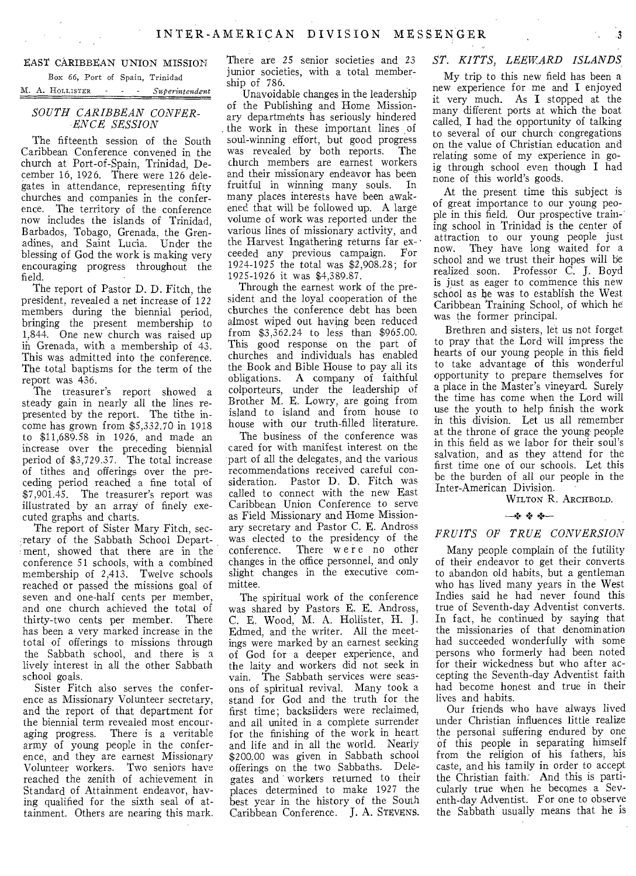## EAST CARIBBEAN UNION MISSION

Box 66, Port of Spain, Trinidad M. A. HOLLISTER - - - *Superintendent* 

## *SOUTH CARIBBEAN CONFER-ENCE SESSION*

The fifteenth session of the South Caribbean Conference convened in the church at Port-of-Spain, Trinidad, December 16, 1926. There were 126 delegates in attendance, representing fifty churches and companies in the conference. The territory of the conference now includes the islands of Trinidad, Barbados, Tobago, Grenada, the Grenadines, and Saint Lucia. Under the blessing of God the work is making very encouraging progress throughout the field.

The report of Pastor D. D. Fitch, the president, revealed a net increase of 122 members during the biennial period, bringing the present membership to 1,844. One new church was raised up in Grenada, with a membership of 43. This was admitted into the conference. The total baptisms for the term of the report was 436.

The treasurer's report showed a steady gain in nearly all the lines represented by the report. The tithe income has grown from \$5,332.70 in 1918 to \$11,689.58 in 1926, and made an increase over the preceding biennial period of \$3,729.37. The total increase of tithes and offerings over the preceding period reached a fine total of \$7,901.45. The treasurer's report was illustrated by an array of finely executed graphs and charts.

The report of Sister Mary Fitch, secretary of the Sabbath School Department, showed that there are in the conference 51 schools, with a combined membership of 2,413. Twelve schools reached or passed the missions goal of seven and one-half cents per member, and one church achieved the total of thirty-two cents per member. There has been a very marked increase in the total of offerings to missions througn the Sabbath school, and there is a lively interest in all the other Sabbath school goals.

Sister Fitch also serves the conference as Missionary Volunteer secretary, and the report of that department for the biennial term revealed most encouraging progress. There is a veritable army of young people in the conference, and they are earnest Missionary Volunteer workers. Two seniors have reached the zenith of achievement in Standard of Attainment endeavor, having qualified for the sixth seal of attainment. Others are nearing this mark. There are 25 senior societies and 23 junior societies, with a total membership of 786.

Unavoidable changes in the leadership of the Publishing and Home Missionary departments has seriously hindered the work in these important lines of soul-winning effort, but good progress was revealed by both reports. The church members are earnest workers and their missionary endeavor has been fruitful in winning many souls. In many places interests have been awakened that will be followed up. A large volume of work was reported under the various lines of missionary activity, and the Harvest Ingathering returns far exceeded any previous campaign. For 1924-1925 the total was \$2,908.28; for 1925-1926 it was \$4,389.87.

Through the earnest work of the president and the loyal cooperation of the churches the conference debt has been almost wiped out having been reduced from \$3,362.24 to less than \$965.00. This good response on the part of churches and individuals has enabled the Book and Bible House to pay all its obligations. A company of faithful colporteurs, under the leadership of Brother M. E. Lowry, are going from island to island and from house to house with our truth-filled literature.

The business of the conference was cared for with manifest interest on the part of all the delegates, and the various recommendations received careful consideration. Pastor D. D. Fitch was called to connect with the new East Caribbean Union Conference to serve as Field Missionary and Home Missionary secretary and Pastor C. E. Andross was elected to the presidency of the conference. There were no other changes in the office personnel, and only slight changes in the executive committee.

The spiritual work of the conference was shared by Pastors E. E. Andross, C. E. Wood, M. A. Hollister, H. J. Edmed, and the writer. All the meetings were marked by an earnest seeking of God for a deeper experience, and the laity and workers did not seek in vain. The Sabbath services were seasons of spiritual revival. Many took a stand for God and the truth for the first time; backsliders were reclaimed, and all united in a complete surrender for the finishing of the work in heart and life and in all the world. Nearly \$200.00 was given in Sabbath school offerings on the two Sabbaths. Delegates and workers returned to their places determined to make 1927 the best year in the history of the South Caribbean Conference. J. A. STEvENs.

# *ST. KITTS, LEEWARD ISLANDS*

.3

My trip to this new field has been a new experience for me and I enjoyed it very much. As I stopped at the many different ports at which the boat called, I had the opportunity of talking to several of our church congregations on the value of Christian education and relating some of my experience in goig through school even though I had none of this world's goods.

At the present time this subject is of great importance to our young people in this field. Our prospective training school in Trinidad is the center of attraction to our young people just now. They have long waited for a school and we trust their hopes will be realized soon. Professor C. J. Boyd is just as eager to commence this new school as be was to establish the West Caribbean Training School, of which he was the former principal.

Brethren and sisters, let us not forget to pray that the Lord will impress the hearts of our young people in this field to take advantage of this wonderful opportunity to prepare themselves for a place in the Master's vineyard. Surely the time has come when the Lord will use the youth to help finish the work in this division. Let us all remember at the throne of grace the young people in this field as we labor for their soul's salvation, and as they attend for the first time one of our schools. Let this be the burden of all our people in the Inter-American Division.

WILTON R. ARCHBOLD.

## + *+—*

# *FRUITS OF TRUE CONVERSION*

Many people complain of the futility of their endeavor to get their converts to abandon old habits, but a gentleman who has lived many years in the West Indies said he had never found this true of Seventh-day Adventist converts. In fact, he continued by saying that the missionaries of that denomination had succeeded wonderfully with some persons who formerly had been noted for their wickedness but who after accepting the Seventh-day Adventist faith had become honest and true in their lives and habits.

Our friends who have always lived under Christian influences little realize the personal suffering endured by one of this people in separating himself from the religion of his fathers, his caste, and his family in order to accept the Christian faith. And this is particularly true when he becomes a Seventh-day Adventist. For one to observe the Sabbath usually means that he is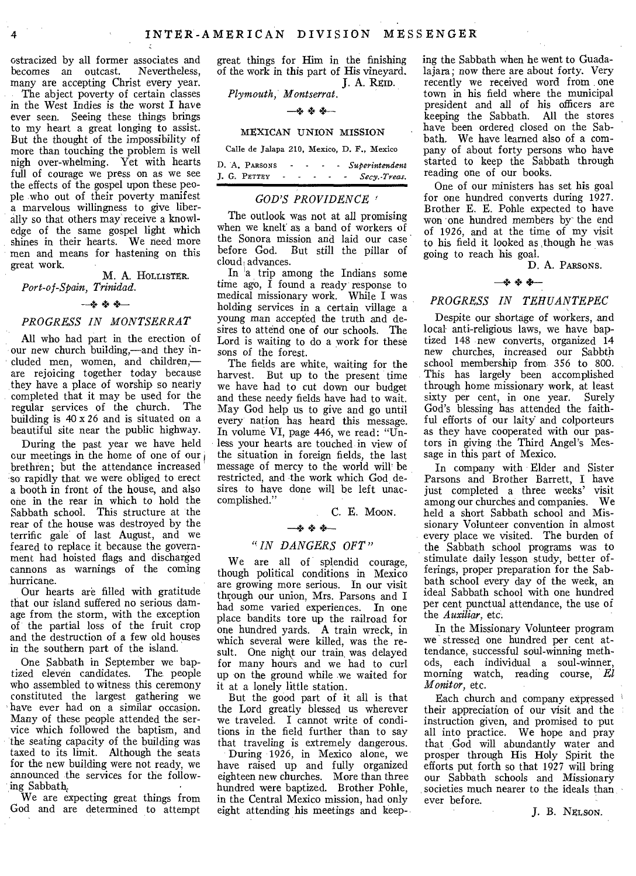ostracized by all former associates and becomes an outcast. Nevertheless, many are accepting Christ every year.

The abject poverty of certain classes in the West Indies is the worst I have ever seen. Seeing these things brings to my heart a great longing to assist. But the thought of the impossibility of more than touching the problem is well nigh over-whelming. Yet with hearts full of courage we press on as we see the effects of the gospel upon these people who out of their poverty manifest a marvelous willingness to give liberally so that others may receive a knowledge of the same gospel light which shines in their hearts. We need more men and means for hastening on this great work.

M. A. HOLLISTER. *Port-of-Spain, Trinidad.* 

## *+ +—*

## *PROGRESS IN MONTSERRAT*

All who had part in the erection of our new church building,—and they included men, women, and children, are rejoicing together today because they have a place of worship so nearly completed that it may be used for the regular services of the church. The building is 40 x 26 and is situated on a beautiful site near the public highway.

During the past year we have held cur meetings in the home of one of our brethren; but the attendance increased so' rapidly that we were obliged to erect a booth in front of the house, and also one in the rear in which to hold the Sabbath school. This structure at the rear of the house was destroyed by the terrific gale of last August, and we feared to replace it because the government had hoisted flags and discharged cannons as warnings of the coming hurricane.

Our hearts are filled with gratitude that our island suffered no serious damage from the storm, with the exception of the partial loss of the fruit crop and the destruction of a few old houses in the southern part of the island.

One Sabbath in September we baptized eleven candidates. The people who assembled to witness this ceremony constituted the largest gathering we have ever had on a similar occasion. Many of these people attended the service which followed the baptism, and the seating capacity of the building was taxed to its limit. Although the seats for the new building were not ready, we announced the services for the following Sabbath,

We are expecting great things from God and are determined to attempt

great things for Him in the finishing of the work in this part of His vineyard. J. A. REID.

*Plymouth, Montserrat.* 

# —4 + 4—

# MEXICAN UNION MISSION

Calle de Jalapa 210, Mexico, D. F., Mexico

|              | D. A. PARSONS |        | ۰ |  |  | - Superintendent |
|--------------|---------------|--------|---|--|--|------------------|
| J. G. PETTEY |               | $\sim$ |   |  |  | - Secy.-Treas.   |

# *GOD'S PROVIDENCE*

The outlook was not at all promising when we knelt as a band of workers of the Sonora mission and laid our case before God. But still the pillar of cloud, advances.

In  $a$  trip among the Indians some time ago,  $\tilde{I}$  found a ready response to medical missionary work. While I was holding services in a certain village a young man accepted the truth and desires to attend one of our schools. The Lord is waiting to do a work for these sons of the forest.

The fields are white, waiting for the harvest. But up to the present time we have had to cut down our budget and these needy fields have had to wait. May God help us to give and go until every nation has heard this message. In volume VI, page 446, we read: "Unless your hearts are touched in view of the situation in foreign fields, the last message of mercy to the world will' be restricted, and the work which God desires to have done will be left unaccomplished."

C. E. Moori.

## —+ + 4--

## *" IN DANGERS OFT "*

We are all of splendid courage, though political conditions in Mexico are growing more serious. In our visit through our union, Mrs. Parsons and I had some varied experiences. In one place bandits tore up the railroad for one hundred yards. A train wreck, in which several were killed, was the result. One night our train was delayed for many hours and we had to curl up on the ground while we waited for it at a lonely little station.

But the good part of it all is that the Lord greatly blessed us wherever we traveled. I cannot write of conditions in the field further than to say that traveling is extremely dangerous.

During 1926, in Mexico alone, we have raised up and fully organized eighteen new churches. More than three hundred were baptized. Brother Pohle, in the Central Mexico mission, had only eight attending his meetings and keeping the Sabbath when he went to Guadalajara; now there are about forty. Very recently we received word from one town in his field where the municipal president and all of his officers are keeping the Sabbath. All the stores have been ordered closed on the Sabbath. We have learned also of a company of about forty persons who have started to keep the Sabbath through reading one of our books.

One of our ministers has set his goal for one hundred converts during 1927. Brother E. E. Pohle expected to have won one hundred members by the end of 1926, and at the time of my visit to his field it looked as ,though he was going to reach his goal.

D. A. PARSONS.

# —4.Z. *4—*

# *PROGRESS IN TEHUANTEPEC*

Despite our shortage of workers, and local anti-religious laws, we have baptized 148 new converts, organized 14 new churches, increased our Sabbth school membership from 356 to 800. This has largely been accomplished through home missionary work, at least sixty per cent, in one year. Surely God's blessing has attended the faithful efforts of our laity' and colporteurs as they have cooperated with our pastors in giving the Third Angel's Message in this part of Mexico.

In company with Elder and Sister Parsons and Brother Barrett, I have just completed a three weeks' visit among our churches and companies. We held a short Sabbath school and Missionary Volunteer convention in almost every place we visited. The burden of the Sabbath school programs was to stimulate daily lesson study, better offerings, proper preparation for the Sabbath school every day of the week, an ideal Sabbath school with one hundred per cent punctual attendance, the use of the *Auxiliar,* etc.

In the Missionary Volunteer program we stressed one hundred per cent attendance, successful soul-winning methods, each individual a soul-winner, morning watch, reading course, *El Monitor,* etc.

Each church and company expressed their appreciation of our visit and the instruction given, and promised to 'put all into practice. We hope and pray that God will abundantly water and prosper through His Holy Spirit the efforts put, forth so that 1927 will bring our Sabbath schools and Missionary societies much nearer to the ideals than ever before.

*J.* B. NELSON.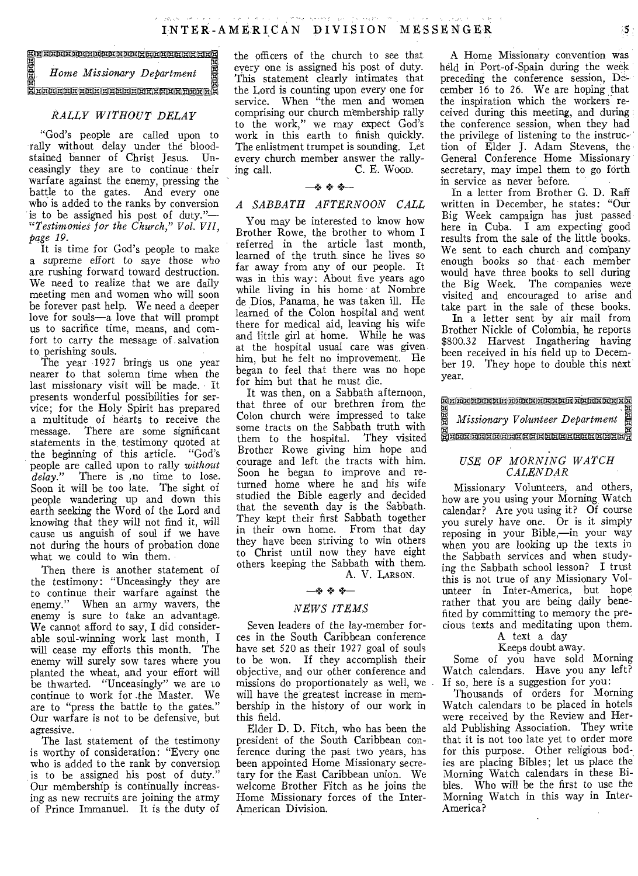EGENERENERERENERENER N T E R - A M E<br>
EN HOME Missionary Department Einless Home Missionary Department Einless This

# *RALLY WITHOUT DELAY*

"God's people are called upon to rally without delay under the bloodstained banner of Christ Jesus. Unceasingly they are to continue their warfare against the enemy, pressing the battle to the gates. And every one who is added to the ranks by conversion is to be assigned his post of duty."— *"Testimonies for the Church," Vol. VII, page 19.* 

It is time for God's people to make a supreme effort to save those who are rushing forward toward destruction. We need to realize that we are daily meeting men and women who will soon be forever past help. We need a deeper love for souls—a love that will prompt us to sacrifice time, means, and comfort to carry the message of salvation to perishing souls.

The year 1927 brings us one year nearer to that solemn time when the last missionary visit will be made. It presents wonderful possibilities for service; for the Holy Spirit has prepared a multitude of hearts to receive the message. There are some significant statements in the, testimony quoted at the beginning of this article. "God's people are called upon to rally *without delay.*" There is no time to lose. Soon it will be too late. The sight of people wandering up and down this earth seeking the Word of the Lord and knowing that they will not find it, will cause us anguish of soul if we have not during the hours of probation done what we could to win them.

Then there is another statement of the testimony: "Unceasingly they are to continue their warfare against the enemy." When an army wavers, the enemy is sure to take an advantage. We cannot afford to say, I did considerable soul-winning work last month, I will cease my efforts this month. The enemy will surely sow tares where you planted the wheat, and your effort will be thwarted. "Unceasingly" we are to continue to work for .the Master. We are to "press the battle to the gates." Our warfare is not to be defensive, but agressive.

The last statement of the testimony is worthy of consideration: "Every one who is added to the rank by conversion is to be assigned his post of duty." Our membership is continually increasing as new recruits are joining the army of Prince Immanuel. It is the duty of

the officers of the church to see that every one is assigned his post of duty. This statement clearly intimates that the Lord is counting upon every one for service. When "the men and women comprising our church membership rally to the work," we may expect God's work in this earth to finish quickly. The enlistment trumpet is sounding. Let every church member answer the rally-<br>ing call. C. E. Woop. C. E. Woon.

## —04,- +: *—*

# *A SABBATH AFTERNOON CALL*

You may be interested to know how Brother Rowe, the brother to whom I referred in the article last month, learned of the truth since he lives so far away from any of our people. It was in this way: About five years ago while living in his home at Nombre de Dios, Panama, he was taken ill. He learned of the Colon hospital and went there for medical aid, leaving his wife and little girl at home. While he was at the hospital usual care was given him, but he felt no improvement. He began to feel that there was no hope for him but that he must die.

It was then, on a Sabbath afternoon, that three of our brethren from the Colon church were impressed to take some tracts on the Sabbath truth with them to the hospital. They visited Brother Rowe giving him hope and courage and left the tracts with him. Soon he began to improve and returned home where he and his wife studied the Bible eagerly and decided that the seventh day is the Sabbath. They kept their first Sabbath together in their own home. From that day they have been striving to win others to Christ until now they have eight others keeping the Sabbath with them. A. V. LARSON.

*—+ + +—* 

# *NEWS ITEMS*

Seven leaders of the lay-member forces in the South Caribbean conference have set 520 as their 1927 goal of souls to be won. If they accomplish their objective, and our other conference and missions do proportionately as well, we will have the greatest increase in membership in the history of our work in this field.

Elder D. D. Fitch, who has been the president of the South Caribbean conference during the past two years, has been appointed Home Missionary secretary for the East Caribbean union. We welcome Brother Fitch as he joins the Home Missionary forces of the Inter-American Division.

A Home Missionary convention was held in Port-of-Spain during the week preceding the conference session, December 16 to 26. We are hoping that the inspiration which the workers received during this meeting, and during the conference session, when they had the privilege of listening to the instruction of Elder J. Adam Stevens, the General Conference Home Missionary secretary, may impel them to go forth in service as never before.

In a letter from Brother G. D. Raff written in December, he states: "Our Big Week campaign has just passed here in Cuba. I am expecting good results from the sale of the little books. We sent to each church and company enough books so that each member would have three books to sell during the Big Week. The companies were visited and encouraged to arise and take part in the sale of these books.

In a letter sent by air mail from Brother Nickle of Colombia, he reports \$800.32 Harvest Ingathering having been received in his field up to December 19. They hope to double this next year.

| year. |  |  | per 19. They hope to double this next                                                                                                                  |  |  |  |
|-------|--|--|--------------------------------------------------------------------------------------------------------------------------------------------------------|--|--|--|
|       |  |  | <b>NEBERTERE EN BEREINEREN ER EN BESTERE</b><br>E Missionary Volunteer Department<br>E Missionary Volunteer Department<br>E EEREREEREREEREREEREREERERE |  |  |  |
|       |  |  |                                                                                                                                                        |  |  |  |

# *USE OF MORNING WATCH CALENDAR*

Missionary Volunteers, and others, how are you using your Morning Watch calendar? Are you using it? Of course you surely have one. Or is it simply reposing in your Bible,—in your way when you are looking up the texts in the Sabbath services and when studying the Sabbath school lesson? I trust this is not true of any Missionary Vol-unteer in Inter-America, but hope rather that you are being daily benefited by committing to memory the precious texts and meditating upon them.

# A text a day

Keeps doubt away.

Some of you have sold Morning Watch calendars. Have you any left? If so, here is a suggestion for you:

Thousands of orders for Morning Watch calendars to be placed in hotels were received by the Review and Herald Publishing Association. They write that it is not too late yet to order more for this purpose. Other religious bodies are placing Bibles; let us place the Morning Watch calendars in these Bibles. Who will be the first to use the Morning Watch in this way in Inter-America?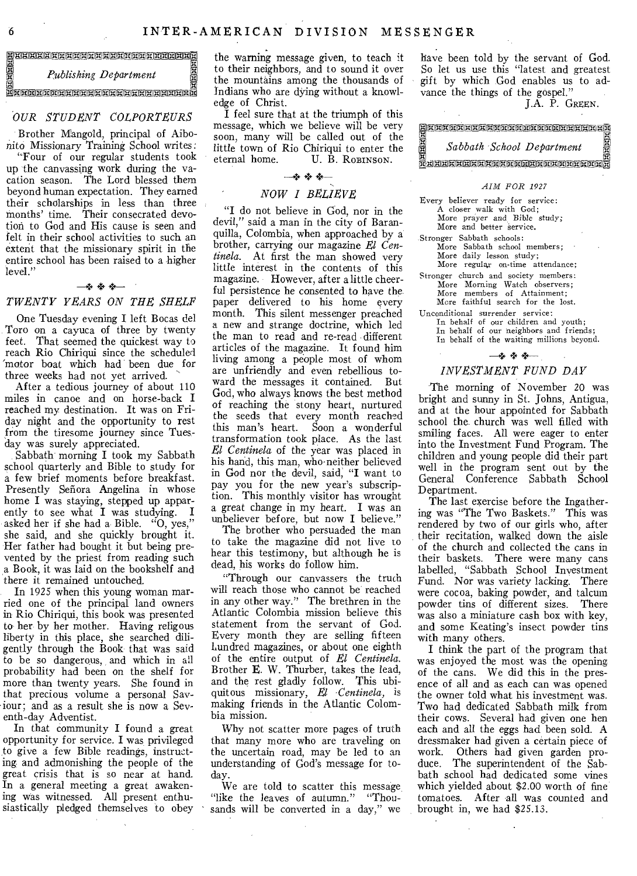EEREEREEREEREEREEREER<br>E<br>E Publishing Department<br>E Publishing Department *Publishing Department*   $\mathbb E$ eggeleigggalgeleicheigeleigen Eingeleig

## *OUR STUDENT COLPORTEURS*

Brother Mangold, principal of Aibonito Missionary Training School writes:

"Four of our regular students took up the canvassing work during the vacation season. The Lord blessed them beyond human expectation. They earned their scholarships in less than three months' time. Their consecrated devotion to God and His cause is seen and felt in their school activities to such an extent that the missionary spirit in the entire school has been raised to a higher level."

## *+---*

# *TWENTY YEARS ON THE SHELF*

One Tuesday evening I left Bocas del Toro on a cayuca of three by twenty feet. That seemed the quickest way to reach Rio Chiriqui since the scheduled 'motor boat which had been due for three weeks had not yet arrived.

After a tedious journey of about 110 miles in canoe and on horse-back I reached my destination. It was on Friday night and the opportunity to rest from the tiresome journey since Tues day was surely appreciated.

Sabbath morning I took my Sabbath school quarterly and Bible to study for a few brief moments before breakfast. Presently Señora Angelina in whose home I was staying, stepped up apparently to see what I was studying. I asked her if she had a Bible. "O, yes," she said, and she quickly brought it. Her father had bought it but being prevented by the priest from reading such a Book, it was laid on the bookshelf and there it remained untouched.

In 1925 when this young woman married one of the principal land owners in Rio Chiriqui, this book was presented to her by her mother. Having religous liberty in this place, she searched diligently through the Book that was said to be so dangerous, and which in all probability had been on the shelf for more than twenty years. She found in that precious volume a personal Saviour; and as a result she is now a Seventh-day Adventist.

In that community I found a great opportunity for service. I was privileged to give a few Bible readings, instructing and admonishing the people of the great crisis that is so near at hand. In a general meeting a great awakening was witnessed. All present enthusiastically pledged themselves to obey

the warning message given, to teach it to their neighbors, and to sound it over the mountains among the thousands of Indians who are dying without a knowledge of Christ.

I feel sure that at the triumph of this message, which we believe will be very soon, many will be called out of the little town of Rio Chiriqui to enter the U. B. ROBINSON.

## —+ +—

## *NOW I BELIEVE*

"I do not believe in God, nor in the ' said a man in the city of Baranquilla, Colombia, when approached by a brother, carrying our magazine *El Centinela.* At first the man showed very little interest in the contents of this magazine. However, after a little cheerful persistence he consented to have the paper delivered to his home every month. This silent messenger preached a new and strange doctrine, which led the man to read and re-read different articles of the magazine. It found him living among a people most of whom are unfriendly and even rebellious toward the messages it contained. But God, who always knows the best method of reaching the stony heart, nurtured the seeds that every month reached this man's heart. Soon a wonderful transformation took place. As the last *El Centinela* of the year was placed in his hand, this man, who-neither believed in God nor the devil, said, "I want to pay you for the new year's subscription. This monthly visitor has wrought a great change in my heart. I was an unbeliever before, but now I believe."

The brother who persuaded the man to take the magazine did not live to hear this testimony, but although he is dead, his works do follow him.

"Through our canvassers the truth will reach those who cannot be reached in any other way." The brethren in the Atlantic Colombia mission believe this statement from the servant of God. Every month they are selling fifteen hundred magazines, or about one eighth of the entire output of *El Centinela.*  Brother E. W. Thurber, takes the lead, and the rest gladly follow. This ubiquitous missionary, *El Centinela*, is making friends in the Atlantic Colombia mission.

Why not scatter more pages of truth that many more who are traveling on the uncertain road, may be led to an understanding of God's message for today.

We are told to scatter this message "like the leaves of autumn." "Thousands will be converted in a day," we have been told by the servant of God. So let us use this "latest and greatest gift by which God enables us to advance the things of the gospel."

J.A. P. GREEN.

e Kontinente Formall in den Enternehmen und der Antioche und der Antioche und der Antioche und der Antioche und I *Sabbath School Department*  oggggggLiplogggggggEigogDgggg

## *AIM FOR 1927*

Every believer ready for service: A closer walk with God; More *prayer* and *Bible study;*  More and better service.

- Stronger Sabbath schools: More Sabbath school members; More daily lesson study;
- More regular on-time attendance; Stronger church and society members: More Morning Watch observers; More members of Attainment; More faithful search for the lost.

Unconditional surrender service: In behalf of our children and youth; In behalf of our neighbors and friends; In behalf of the waiting millions beyond.

# -\*\*\*

# *INVESTMENT FUND DAY*

The morning of November 20 was bright and sunny in St. Johns, Antigua, and at the hour appointed for Sabbath school the church was well filled with smiling faces. All were eager to enter into the Investment Fund Program. The children and young people did their part well in the program sent out by the General Conference Sabbath School Department.

The last exercise before the Ingathering was "The Two Baskets." This was rendered by two of our girls who, after their recitation, walked down the aisle of the church and collected the cans in their baskets. There were many cans labelled, "Sabbath School Investment Fund. Nor was variety lacking. There were cocoa, baking powder, and talcum powder tins of different sizes. There was also a miniature cash box with key, and some Keating's insect powder tins with many others.

I think the part of the program that was enjoyed the most was the opening of the cans. We did this in the presence of all and as each can was opened the owner told what his investment was. Two had dedicated Sabbath milk from their cows. Several had given one hen each and all the eggs had been sold. A dressmaker had given a certain piece of work. Others had given garden produce. The superintendent of the Sabbath school had dedicated some vines which yielded about \$2.00 worth of fine tomatoes. After all was counted and brought in, we had \$25.13.

6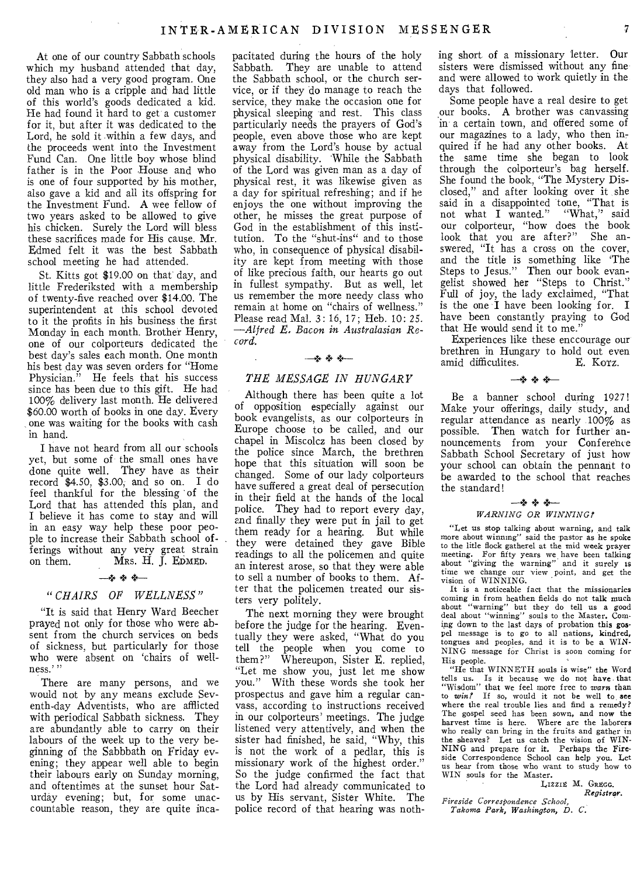At one of our country Sabbath schools which my husband attended that day, they also had a very good program. One old man who is a cripple and had little of this world's goods dedicated a kid. He had found it hard to get a customer for it, but after it was dedicated to the Lord, he sold it within a few days, and the proceeds went into the Investment Fund Can. One little boy whose blind father is in the Poor House and who is one of four supported by his mother, also gave a kid and all its offspring for the Investment Fund. A wee fellow of two years asked to be allowed to give his chicken. Surely the Lord will bless these sacrifices made for His cause. Mr. Edmed felt it was the best Sabbath school meeting he had attended.

St. Kitts got \$19.00 on that day, and little Frederiksted with a membership of twenty-five reached over \$14.00. The superintendent at this school devoted to it the profits in his business the first Monday in each month. Brother Henry, one of our colporteurs dedicated the best day's sales each month. One month his best day was seven orders for "Home Physician." He feels that his success since has been due to this gift. He had 100% delivery last month. He delivered \$60.00 worth of books in one day. Every one was waiting for the books with cash in hand.

I have not heard from all our schools yet, but some of the small ones have done quite well. They have as their record \$4.50, \$3.00, and so on. I do feel thankful for the blessing 'of the Lord that has attended this plan, and I believe it has come to stay and will in an easy way help these poor people to increase their Sabbath school offerings without any very great strain on them.  $MRS. H. J. EDMED.$ 

## —4 + +—

# " *CHAIRS OF WELLNESS"*

"It is said that Henry Ward Beecher prayed not only for those who were absent from the church services on beds of sickness, but particularly for those who were absent on 'chairs of wellness.' "

There are many persons, and we would not by any means exclude Seventh-day Adventists, who are afflicted with periodical Sabbath sickness. They are abundantly able to carry on their labours of the week up to the very beginning of the Sabbbath on Friday evening; they appear well able to begin their labours early on Sunday morning, and oftentimes at the sunset hour Saturday evening; but, for some unaccountable reason, they are quite incapacitated during the hours of the holy Sabbath. They are unable to attend the Sabbath school, or the church service, or if they do manage to reach the service, they make the occasion one for physical sleeping and rest. This class particularly needs the prayers of God's people, even above those who are kept away from the Lord's house by actual physical disability. While the Sabbath of the Lord was given man as a day of physical rest, it was likewise given as a day for spiritual refreshing; and if he enjoys the one without improving the other, he misses the great purpose of God in the establishment of this institution. To the "shut-ins" and to those who, in consequence of physical disability are kept from meeting with those of like precious faith, our hearts go out in fullest sympathy. But as well, let us remember the more needy class who remain at home on "chairs of wellness." Please read Mal. 3: 16, 17; Heb. 10: *25. —Alfred E. Bacon in Australasian, Record.* 

## — \* \* \* -

# *THE MESSAGE MESSAGE IN HUNGARY*

Although there has' been quite a lot of opposition especially against our book evangelists, as our colporteurs in Europe choose to be called, and our chapel in Miscolcz has been closed by the police since March, the brethren hope that this situation will soon be changed. Some of our lady colporteurs have suffered a great deal of persecution in their field at the hands of the local police. They had to report every day, and finally they were put in jail to get them ready for a hearing. But while they were detained they gave Bible readings to all the policemen and quite an interest arose, so that they were able to sell a number of books to them. After that the policemen treated our sisters very politely.

The next morning they were brought before the judge for the hearing. Eventually they were asked, "What do you tell the people when you come to them?" Whereupon, Sister E. replied, "Let me show you, just let me show you." With these words she took her prospectus and gave him a regular canvass, according to instructions received in our colporteurs' meetings. The judge listened very attentively, and when the sister had finished, he said, "Why, this is not the work of a pedlar, this is missionary work of the highest order." So the judge confirmed the fact that the Lord had already communicated to us by His servant, Sister White. The police record of that hearing was nothing short of a missionary letter. Our sisters were dismissed without any fine and were allowed to work quietly in the days that followed.

Some people have a real desire to get our books. A brother was canvassing in' a certain town, and offered some of our magazines to a lady, who then inquired if he had any other books. At the same time she began to look through the colporteur's bag herself. She found the book, "The Mystery Disclosed," and after looking over it she said in a disappointed tone, "That is<br>not what I wanted." "What," said not what I wanted." our colporteur, "how does the book<br>look that you are after?" She anlook that you are after?" swered, "It has a cross on the cover, and the title is something like 'The Steps to Jesus." Then our book evangelist showed her "Steps to Christ." Full of joy, the lady exclaimed, "That is the one 'I have been looking for. I have been constantly praying to God that He would send it to me."

Experiences like these enccourage our brethren in Hungary to hold out even<br>amid difficulites. E. Korz. amid difficulites.

# —+ + +—

Be a banner school during 192'7! Make your offerings, daily study, and regular attendance as nearly 100% as possible. Then watch for further announcements from your Conference Sabbath School Secretary of just how your school can obtain the pennant to be awarded to the school that reaches the standard!

## *—+ + +— WARNING OR WINNING!*

"Let us stop talking about warning, and talk more about winning" said the pastor as he spoke to the litle flock gatherel at the mid week prayer meeting. For fifty years we have been talking about "giving the warning" and it surely is time we change our view point, and get the vision of WINNING.

It is a noticeable fact that the missionaries coming in from heathen fields do not talk much about "warning" but they do tell us a good deal about "winning" souls to the Master. Corning down to the last days of probation this gospel message is to go to all nations, kindred, tongues and peoples, and it is to be a WIN-NING message for Christ is soon coming for His people.

"He that WINNTH souls is wise" the Word tells us. Is it because we do not have. that "Wisdom" that we feel more free to *warn* than to win? If so, would it not be well to see where the real trouble lies and find a remedy? The gospel seed has been sown, and now the harvest time is here. Where are the laborers who really can bring in the fruits and gather in the sheaves? Let us catch the vision of WIN-NING and prepare for it. Perhaps the Fire-side Correspondence School can help you. Let us hear from those who want to study how to WIN souls for the Master.

LIZZIE M. GREGO. *Registrar.* 

*Fireside Correspondence School, Takoma Park, Washington, D. C.*